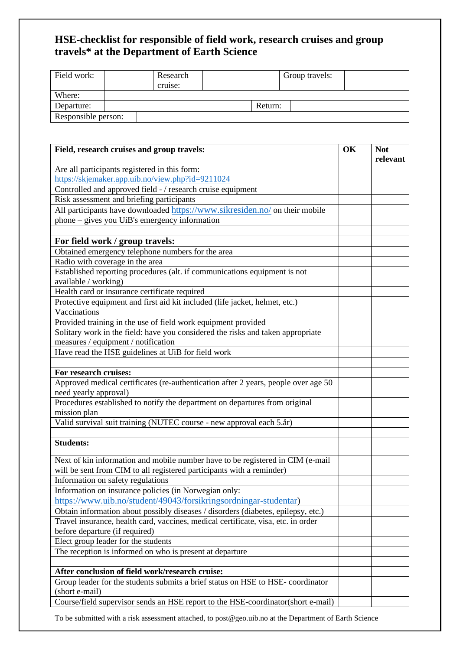## **HSE-checklist for responsible of field work, research cruises and group travels\* at the Department of Earth Science**

| Field work:         |  | Research<br>cruise: |         | Group travels: |  |
|---------------------|--|---------------------|---------|----------------|--|
| Where:              |  |                     |         |                |  |
| Departure:          |  |                     | Return: |                |  |
| Responsible person: |  |                     |         |                |  |

| Field, research cruises and group travels:                                                                                                              | OK | <b>Not</b><br>relevant |
|---------------------------------------------------------------------------------------------------------------------------------------------------------|----|------------------------|
| Are all participants registered in this form:                                                                                                           |    |                        |
| https://skjemaker.app.uib.no/view.php?id=9211024                                                                                                        |    |                        |
| Controlled and approved field - / research cruise equipment                                                                                             |    |                        |
| Risk assessment and briefing participants                                                                                                               |    |                        |
| All participants have downloaded https://www.sikresiden.no/ on their mobile                                                                             |    |                        |
| phone – gives you UiB's emergency information                                                                                                           |    |                        |
|                                                                                                                                                         |    |                        |
| For field work / group travels:                                                                                                                         |    |                        |
| Obtained emergency telephone numbers for the area                                                                                                       |    |                        |
| Radio with coverage in the area                                                                                                                         |    |                        |
| Established reporting procedures (alt. if communications equipment is not                                                                               |    |                        |
| available / working)                                                                                                                                    |    |                        |
| Health card or insurance certificate required                                                                                                           |    |                        |
| Protective equipment and first aid kit included (life jacket, helmet, etc.)                                                                             |    |                        |
| Vaccinations                                                                                                                                            |    |                        |
| Provided training in the use of field work equipment provided                                                                                           |    |                        |
| Solitary work in the field: have you considered the risks and taken appropriate                                                                         |    |                        |
| measures / equipment / notification                                                                                                                     |    |                        |
| Have read the HSE guidelines at UiB for field work                                                                                                      |    |                        |
|                                                                                                                                                         |    |                        |
| For research cruises:                                                                                                                                   |    |                        |
| Approved medical certificates (re-authentication after 2 years, people over age 50<br>need yearly approval)                                             |    |                        |
| Procedures established to notify the department on departures from original<br>mission plan                                                             |    |                        |
| Valid survival suit training (NUTEC course - new approval each 5.år)                                                                                    |    |                        |
|                                                                                                                                                         |    |                        |
| <b>Students:</b>                                                                                                                                        |    |                        |
| Next of kin information and mobile number have to be registered in CIM (e-mail<br>will be sent from CIM to all registered participants with a reminder) |    |                        |
| Information on safety regulations                                                                                                                       |    |                        |
| Information on insurance policies (in Norwegian only:                                                                                                   |    |                        |
| https://www.uib.no/student/49043/forsikringsordningar-studentar)                                                                                        |    |                        |
| Obtain information about possibly diseases / disorders (diabetes, epilepsy, etc.)                                                                       |    |                        |
| Travel insurance, health card, vaccines, medical certificate, visa, etc. in order                                                                       |    |                        |
| before departure (if required)                                                                                                                          |    |                        |
| Elect group leader for the students                                                                                                                     |    |                        |
| The reception is informed on who is present at departure                                                                                                |    |                        |
|                                                                                                                                                         |    |                        |
| After conclusion of field work/research cruise:                                                                                                         |    |                        |
| Group leader for the students submits a brief status on HSE to HSE-coordinator<br>(short e-mail)                                                        |    |                        |
| Course/field supervisor sends an HSE report to the HSE-coordinator(short e-mail)                                                                        |    |                        |

To be submitted with a risk assessment attached, to post@geo.uib.no at the Department of Earth Science